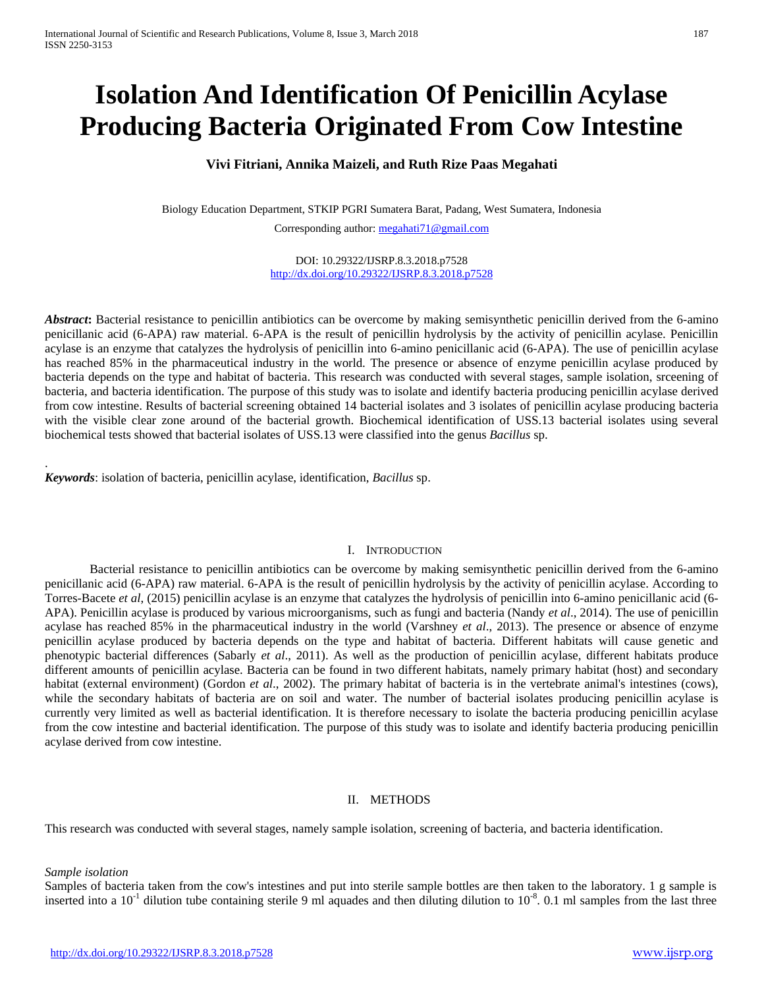# **Isolation And Identification Of Penicillin Acylase Producing Bacteria Originated From Cow Intestine**

## **Vivi Fitriani, Annika Maizeli, and Ruth Rize Paas Megahati**

Biology Education Department, STKIP PGRI Sumatera Barat, Padang, West Sumatera, Indonesia Corresponding author[: megahati71@gmail.com](mailto:megahati71@gmail.com)

> DOI: 10.29322/IJSRP.8.3.2018.p7528 <http://dx.doi.org/10.29322/IJSRP.8.3.2018.p7528>

Abstract: Bacterial resistance to penicillin antibiotics can be overcome by making semisynthetic penicillin derived from the 6-amino penicillanic acid (6-APA) raw material. 6-APA is the result of penicillin hydrolysis by the activity of penicillin acylase. Penicillin acylase is an enzyme that catalyzes the hydrolysis of penicillin into 6-amino penicillanic acid (6-APA). The use of penicillin acylase has reached 85% in the pharmaceutical industry in the world. The presence or absence of enzyme penicillin acylase produced by bacteria depends on the type and habitat of bacteria. This research was conducted with several stages, sample isolation, srceening of bacteria, and bacteria identification. The purpose of this study was to isolate and identify bacteria producing penicillin acylase derived from cow intestine. Results of bacterial screening obtained 14 bacterial isolates and 3 isolates of penicillin acylase producing bacteria with the visible clear zone around of the bacterial growth. Biochemical identification of USS.13 bacterial isolates using several biochemical tests showed that bacterial isolates of USS.13 were classified into the genus *Bacillus* sp.

*Keywords*: isolation of bacteria, penicillin acylase, identification, *Bacillus* sp.

## I. INTRODUCTION

Bacterial resistance to penicillin antibiotics can be overcome by making semisynthetic penicillin derived from the 6-amino penicillanic acid (6-APA) raw material. 6-APA is the result of penicillin hydrolysis by the activity of penicillin acylase. According to Torres-Bacete *et al*, (2015) penicillin acylase is an enzyme that catalyzes the hydrolysis of penicillin into 6-amino penicillanic acid (6- APA). Penicillin acylase is produced by various microorganisms, such as fungi and bacteria (Nandy *et al*., 2014). The use of penicillin acylase has reached 85% in the pharmaceutical industry in the world (Varshney *et al*., 2013). The presence or absence of enzyme penicillin acylase produced by bacteria depends on the type and habitat of bacteria. Different habitats will cause genetic and phenotypic bacterial differences (Sabarly *et al*., 2011). As well as the production of penicillin acylase, different habitats produce different amounts of penicillin acylase. Bacteria can be found in two different habitats, namely primary habitat (host) and secondary habitat (external environment) (Gordon *et al*., 2002). The primary habitat of bacteria is in the vertebrate animal's intestines (cows), while the secondary habitats of bacteria are on soil and water. The number of bacterial isolates producing penicillin acylase is currently very limited as well as bacterial identification. It is therefore necessary to isolate the bacteria producing penicillin acylase from the cow intestine and bacterial identification. The purpose of this study was to isolate and identify bacteria producing penicillin acylase derived from cow intestine.

## II. METHODS

This research was conducted with several stages, namely sample isolation, screening of bacteria, and bacteria identification.

## *Sample isolation*

.

Samples of bacteria taken from the cow's intestines and put into sterile sample bottles are then taken to the laboratory. 1 g sample is inserted into a  $10^{-1}$  dilution tube containing sterile 9 ml aquades and then diluting dilution to  $10^{-8}$ . 0.1 ml samples from the last three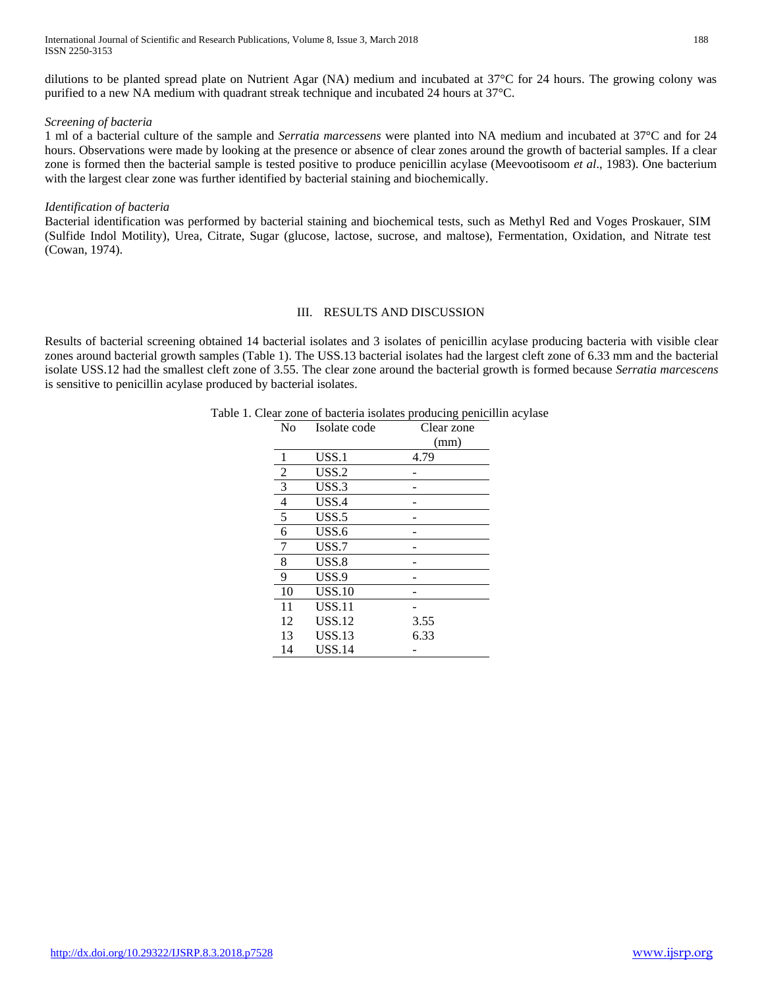International Journal of Scientific and Research Publications, Volume 8, Issue 3, March 2018 188 ISSN 2250-3153

dilutions to be planted spread plate on Nutrient Agar (NA) medium and incubated at 37°C for 24 hours. The growing colony was purified to a new NA medium with quadrant streak technique and incubated 24 hours at 37°C.

#### *Screening of bacteria*

1 ml of a bacterial culture of the sample and *Serratia marcessens* were planted into NA medium and incubated at 37°C and for 24 hours. Observations were made by looking at the presence or absence of clear zones around the growth of bacterial samples. If a clear zone is formed then the bacterial sample is tested positive to produce penicillin acylase (Meevootisoom *et al*., 1983). One bacterium with the largest clear zone was further identified by bacterial staining and biochemically.

#### *Identification of bacteria*

Bacterial identification was performed by bacterial staining and biochemical tests, such as Methyl Red and Voges Proskauer, SIM (Sulfide Indol Motility), Urea, Citrate, Sugar (glucose, lactose, sucrose, and maltose), Fermentation, Oxidation, and Nitrate test (Cowan, 1974).

## III. RESULTS AND DISCUSSION

Results of bacterial screening obtained 14 bacterial isolates and 3 isolates of penicillin acylase producing bacteria with visible clear zones around bacterial growth samples (Table 1). The USS.13 bacterial isolates had the largest cleft zone of 6.33 mm and the bacterial isolate USS.12 had the smallest cleft zone of 3.55. The clear zone around the bacterial growth is formed because *Serratia marcescens* is sensitive to penicillin acylase produced by bacterial isolates.

| N <sub>0</sub> | Isolate code  | Clear zone |
|----------------|---------------|------------|
|                |               | (mm)       |
| 1              | USS.1         | 4.79       |
| 2              | USS.2         |            |
| 3              | USS.3         |            |
| $\overline{4}$ | USS.4         |            |
| 5              | $USS.5$       |            |
| 6              | USS.6         |            |
| 7              | USS.7         |            |
| 8              | USS.8         |            |
| 9              | USS.9         |            |
| 10             | <b>USS.10</b> |            |
| 11             | <b>USS.11</b> |            |
| 12             | <b>USS.12</b> | 3.55       |
| 13             | <b>USS.13</b> | 6.33       |
| 14             | <b>USS.14</b> |            |

| Table 1. Clear zone of bacteria isolates producing penicillin acylase |  |  |
|-----------------------------------------------------------------------|--|--|
|                                                                       |  |  |
|                                                                       |  |  |
|                                                                       |  |  |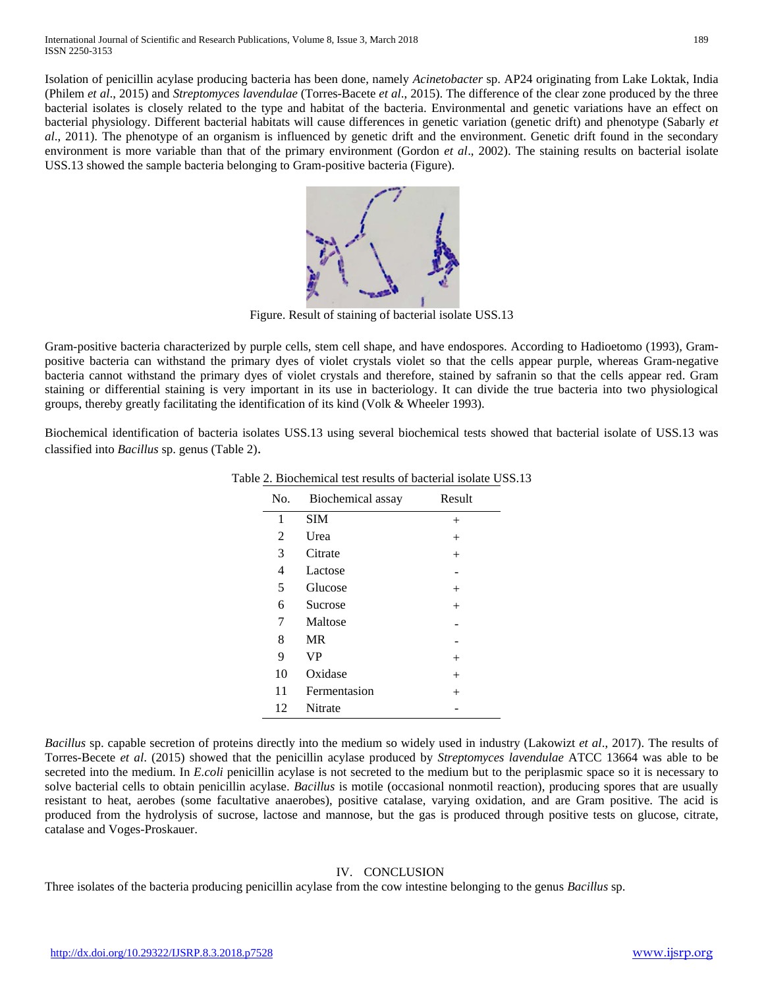Isolation of penicillin acylase producing bacteria has been done, namely *Acinetobacter* sp. AP24 originating from Lake Loktak, India (Philem *et al*., 2015) and *Streptomyces lavendulae* (Torres-Bacete *et al*., 2015). The difference of the clear zone produced by the three bacterial isolates is closely related to the type and habitat of the bacteria. Environmental and genetic variations have an effect on bacterial physiology. Different bacterial habitats will cause differences in genetic variation (genetic drift) and phenotype (Sabarly *et al*., 2011). The phenotype of an organism is influenced by genetic drift and the environment. Genetic drift found in the secondary environment is more variable than that of the primary environment (Gordon *et al*., 2002). The staining results on bacterial isolate USS.13 showed the sample bacteria belonging to Gram-positive bacteria (Figure).



Figure. Result of staining of bacterial isolate USS.13

Gram-positive bacteria characterized by purple cells, stem cell shape, and have endospores. According to Hadioetomo (1993), Grampositive bacteria can withstand the primary dyes of violet crystals violet so that the cells appear purple, whereas Gram-negative bacteria cannot withstand the primary dyes of violet crystals and therefore, stained by safranin so that the cells appear red. Gram staining or differential staining is very important in its use in bacteriology. It can divide the true bacteria into two physiological groups, thereby greatly facilitating the identification of its kind (Volk & Wheeler 1993).

Biochemical identification of bacteria isolates USS.13 using several biochemical tests showed that bacterial isolate of USS.13 was classified into *Bacillus* sp. genus (Table 2).

| No. | Biochemical assay | Result |
|-----|-------------------|--------|
| 1   | <b>SIM</b>        | $^{+}$ |
| 2   | Urea              |        |
| 3   | Citrate           | $^{+}$ |
| 4   | Lactose           |        |
| 5   | Glucose           | $^+$   |
| 6   | Sucrose           | $^{+}$ |
| 7   | Maltose           |        |
| 8   | <b>MR</b>         |        |
| 9   | <b>VP</b>         | $^+$   |
| 10  | Oxidase           | $^+$   |
| 11  | Fermentasion      | $^+$   |
| 12  | <b>Nitrate</b>    |        |

#### Table 2. Biochemical test results of bacterial isolate USS.13

*Bacillus* sp. capable secretion of proteins directly into the medium so widely used in industry (Lakowizt *et al*., 2017). The results of Torres-Becete *et al*. (2015) showed that the penicillin acylase produced by *Streptomyces lavendulae* ATCC 13664 was able to be secreted into the medium. In *E.coli* penicillin acylase is not secreted to the medium but to the periplasmic space so it is necessary to solve bacterial cells to obtain penicillin acylase. *Bacillus* is motile (occasional nonmotil reaction), producing spores that are usually resistant to heat, aerobes (some facultative anaerobes), positive catalase, varying oxidation, and are Gram positive. The acid is produced from the hydrolysis of sucrose, lactose and mannose, but the gas is produced through positive tests on glucose, citrate, catalase and Voges-Proskauer.

#### IV. CONCLUSION

Three isolates of the bacteria producing penicillin acylase from the cow intestine belonging to the genus *Bacillus* sp.